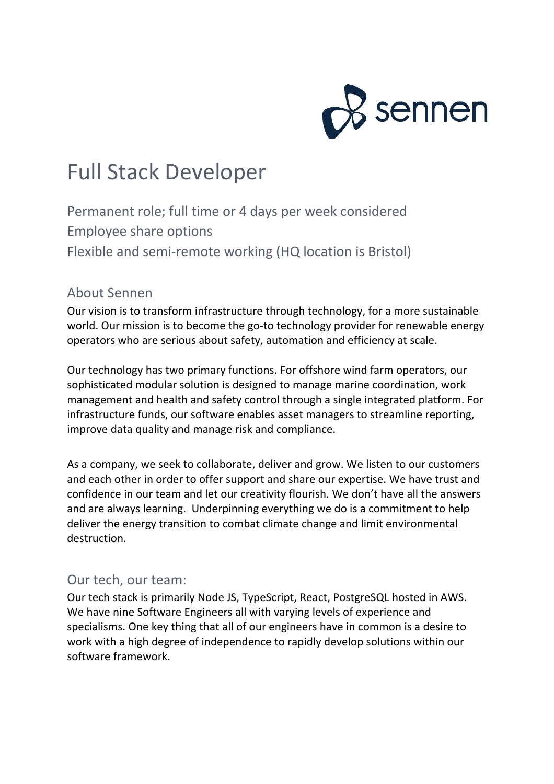

# Full Stack Developer

Permanent role; full time or 4 days per week considered Employee share options Flexible and semi-remote working (HQ location is Bristol)

#### About Sennen

Our vision is to transform infrastructure through technology, for a more sustainable world. Our mission is to become the go-to technology provider for renewable energy operators who are serious about safety, automation and efficiency at scale.

Our technology has two primary functions. For offshore wind farm operators, our sophisticated modular solution is designed to manage marine coordination, work management and health and safety control through a single integrated platform. For infrastructure funds, our software enables asset managers to streamline reporting, improve data quality and manage risk and compliance.

As a company, we seek to collaborate, deliver and grow. We listen to our customers and each other in order to offer support and share our expertise. We have trust and confidence in our team and let our creativity flourish. We don't have all the answers and are always learning. Underpinning everything we do is a commitment to help deliver the energy transition to combat climate change and limit environmental destruction.

#### Our tech, our team:

Our tech stack is primarily Node JS, TypeScript, React, PostgreSQL hosted in AWS. We have nine Software Engineers all with varying levels of experience and specialisms. One key thing that all of our engineers have in common is a desire to work with a high degree of independence to rapidly develop solutions within our software framework.